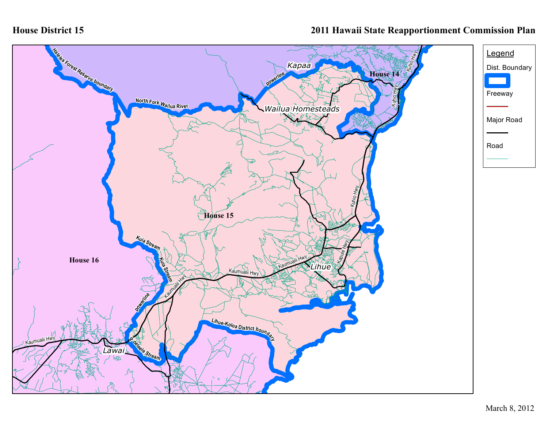## **House District 15**

## **2011 Hawaii State Reapportionment Commission Plan**

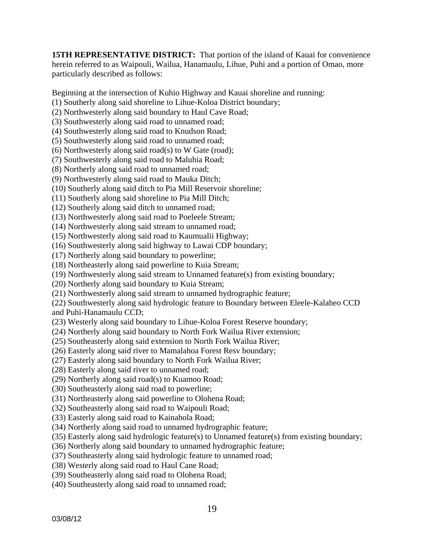**15TH REPRESENTATIVE DISTRICT:** That portion of the island of Kauai for convenience herein referred to as Waipouli, Wailua, Hanamaulu, Lihue, Puhi and a portion of Omao, more particularly described as follows:

Beginning at the intersection of Kuhio Highway and Kauai shoreline and running:

(1) Southerly along said shoreline to Lihue-Koloa District boundary;

- (2) Northwesterly along said boundary to Haul Cave Road;
- (3) Southwesterly along said road to unnamed road;

(4) Southwesterly along said road to Knudson Road;

(5) Southwesterly along said road to unnamed road;

(6) Northwesterly along said road(s) to W Gate (road);

(7) Southwesterly along said road to Maluhia Road;

(8) Northerly along said road to unnamed road;

(9) Northwesterly along said road to Mauka Ditch;

(10) Southerly along said ditch to Pia Mill Reservoir shoreline;

(11) Southerly along said shoreline to Pia Mill Ditch;

(12) Southerly along said ditch to unnamed road;

(13) Northwesterly along said road to Poeleele Stream;

(14) Northwesterly along said stream to unnamed road;

(15) Northwesterly along said road to Kaumualii Highway;

(16) Southwesterly along said highway to Lawai CDP boundary;

(17) Northerly along said boundary to powerline;

(18) Northeasterly along said powerline to Kuia Stream;

(19) Northwesterly along said stream to Unnamed feature(s) from existing boundary;

(20) Northerly along said boundary to Kuia Stream;

(21) Northwesterly along said stream to unnamed hydrographic feature;

(22) Southwesterly along said hydrologic feature to Boundary between Eleele-Kalaheo CCD and Puhi-Hanamaulu CCD;

(23) Westerly along said boundary to Lihue-Koloa Forest Reserve boundary;

(24) Northerly along said boundary to North Fork Wailua River extension;

(25) Southeasterly along said extension to North Fork Wailua River;

(26) Easterly along said river to Mamalahoa Forest Resv boundary;

(27) Easterly along said boundary to North Fork Wailua River;

(28) Easterly along said river to unnamed road;

(29) Northerly along said road(s) to Kuamoo Road;

(30) Southeasterly along said road to powerline;

(31) Northeasterly along said powerline to Olohena Road;

(32) Southeasterly along said road to Waipouli Road;

(33) Easterly along said road to Kainahola Road;

(34) Northerly along said road to unnamed hydrographic feature;

(35) Easterly along said hydrologic feature(s) to Unnamed feature(s) from existing boundary;

(36) Northerly along said boundary to unnamed hydrographic feature;

(37) Southeasterly along said hydrologic feature to unnamed road;

(38) Westerly along said road to Haul Cane Road;

(39) Southeasterly along said road to Olohena Road;

(40) Southeasterly along said road to unnamed road;